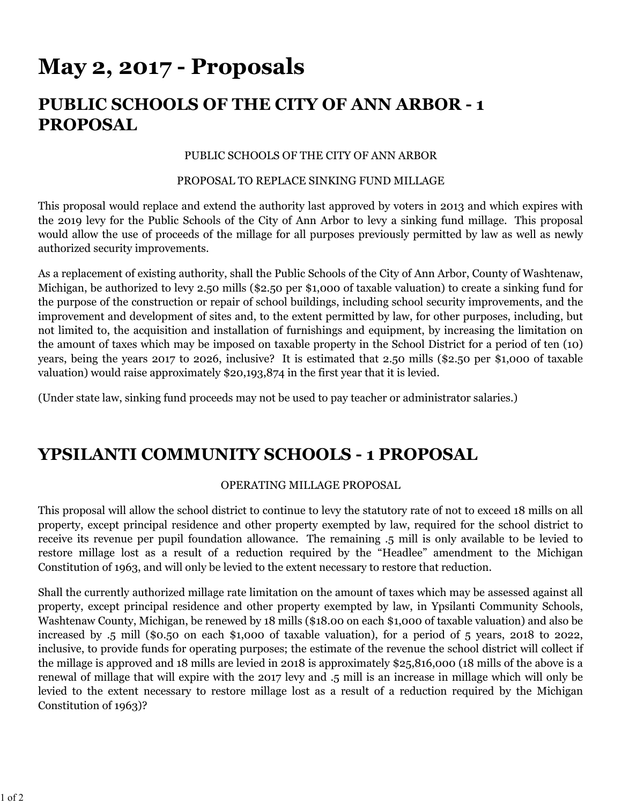# **May 2, 2017 - Proposals**

# **PUBLIC SCHOOLS OF THE CITY OF ANN ARBOR - 1 PROPOSAL**

### PUBLIC SCHOOLS OF THE CITY OF ANN ARBOR

#### PROPOSAL TO REPLACE SINKING FUND MILLAGE

This proposal would replace and extend the authority last approved by voters in 2013 and which expires with the 2019 levy for the Public Schools of the City of Ann Arbor to levy a sinking fund millage. This proposal would allow the use of proceeds of the millage for all purposes previously permitted by law as well as newly authorized security improvements.

As a replacement of existing authority, shall the Public Schools of the City of Ann Arbor, County of Washtenaw, Michigan, be authorized to levy 2.50 mills (\$2.50 per \$1,000 of taxable valuation) to create a sinking fund for the purpose of the construction or repair of school buildings, including school security improvements, and the improvement and development of sites and, to the extent permitted by law, for other purposes, including, but not limited to, the acquisition and installation of furnishings and equipment, by increasing the limitation on the amount of taxes which may be imposed on taxable property in the School District for a period of ten (10) years, being the years 2017 to 2026, inclusive? It is estimated that 2.50 mills (\$2.50 per \$1,000 of taxable valuation) would raise approximately \$20,193,874 in the first year that it is levied.

(Under state law, sinking fund proceeds may not be used to pay teacher or administrator salaries.)

### **YPSILANTI COMMUNITY SCHOOLS - 1 PROPOSAL**

### OPERATING MILLAGE PROPOSAL

This proposal will allow the school district to continue to levy the statutory rate of not to exceed 18 mills on all property, except principal residence and other property exempted by law, required for the school district to receive its revenue per pupil foundation allowance. The remaining .5 mill is only available to be levied to restore millage lost as a result of a reduction required by the "Headlee" amendment to the Michigan Constitution of 1963, and will only be levied to the extent necessary to restore that reduction.

Shall the currently authorized millage rate limitation on the amount of taxes which may be assessed against all property, except principal residence and other property exempted by law, in Ypsilanti Community Schools, Washtenaw County, Michigan, be renewed by 18 mills (\$18.00 on each \$1,000 of taxable valuation) and also be increased by .5 mill (\$0.50 on each \$1,000 of taxable valuation), for a period of 5 years, 2018 to 2022, inclusive, to provide funds for operating purposes; the estimate of the revenue the school district will collect if the millage is approved and 18 mills are levied in 2018 is approximately \$25,816,000 (18 mills of the above is a renewal of millage that will expire with the 2017 levy and .5 mill is an increase in millage which will only be levied to the extent necessary to restore millage lost as a result of a reduction required by the Michigan Constitution of 1963)?